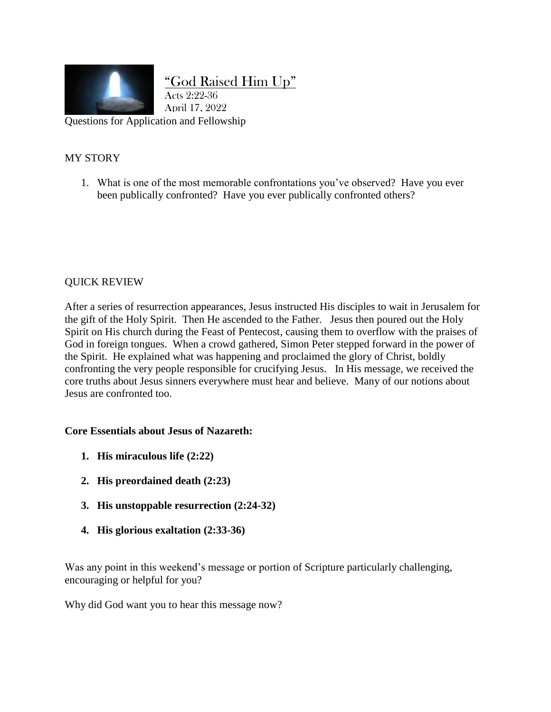

# "God Raised Him Up"

Questions for Application and Fellowship April 17, 2022

Acts 2:22-36

## MY STORY

1. What is one of the most memorable confrontations you've observed? Have you ever been publically confronted? Have you ever publically confronted others?

### QUICK REVIEW

After a series of resurrection appearances, Jesus instructed His disciples to wait in Jerusalem for the gift of the Holy Spirit. Then He ascended to the Father. Jesus then poured out the Holy Spirit on His church during the Feast of Pentecost, causing them to overflow with the praises of God in foreign tongues. When a crowd gathered, Simon Peter stepped forward in the power of the Spirit. He explained what was happening and proclaimed the glory of Christ, boldly confronting the very people responsible for crucifying Jesus. In His message, we received the core truths about Jesus sinners everywhere must hear and believe. Many of our notions about Jesus are confronted too.

#### **Core Essentials about Jesus of Nazareth:**

- **1. His miraculous life (2:22)**
- **2. His preordained death (2:23)**
- **3. His unstoppable resurrection (2:24-32)**
- **4. His glorious exaltation (2:33-36)**

Was any point in this weekend's message or portion of Scripture particularly challenging, encouraging or helpful for you?

Why did God want you to hear this message now?